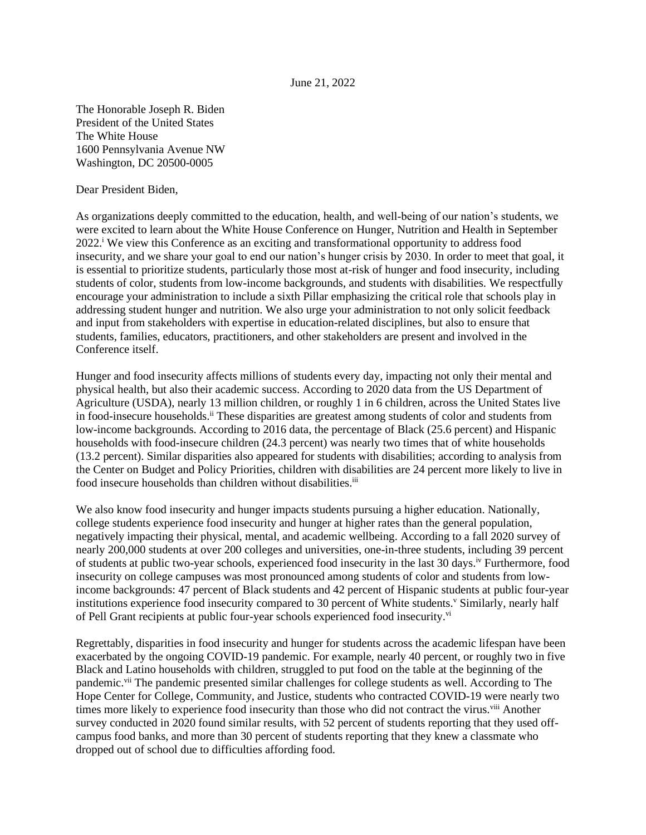## June 21, 2022

The Honorable Joseph R. Biden President of the United States The White House 1600 Pennsylvania Avenue NW Washington, DC 20500-0005

Dear President Biden,

As organizations deeply committed to the education, health, and well-being of our nation's students, we were excited to learn about the White House Conference on Hunger, Nutrition and Health in September 2022.<sup>i</sup> We view this Conference as an exciting and transformational opportunity to address food insecurity, and we share your goal to end our nation's hunger crisis by 2030. In order to meet that goal, it is essential to prioritize students, particularly those most at-risk of hunger and food insecurity, including students of color, students from low-income backgrounds, and students with disabilities. We respectfully encourage your administration to include a sixth Pillar emphasizing the critical role that schools play in addressing student hunger and nutrition. We also urge your administration to not only solicit feedback and input from stakeholders with expertise in education-related disciplines, but also to ensure that students, families, educators, practitioners, and other stakeholders are present and involved in the Conference itself.

Hunger and food insecurity affects millions of students every day, impacting not only their mental and physical health, but also their academic success. According to 2020 data from the US Department of Agriculture (USDA), nearly 13 million children, or roughly 1 in 6 children, across the United States live in food-insecure households.<sup>ii</sup> These disparities are greatest among students of color and students from low-income backgrounds. According to 2016 data, the percentage of Black (25.6 percent) and Hispanic households with food-insecure children (24.3 percent) was nearly two times that of white households (13.2 percent). Similar disparities also appeared for students with disabilities; according to analysis from the Center on Budget and Policy Priorities, children with disabilities are 24 percent more likely to live in food insecure households than children without disabilities.<sup>iii</sup>

We also know food insecurity and hunger impacts students pursuing a higher education. Nationally, college students experience food insecurity and hunger at higher rates than the general population, negatively impacting their physical, mental, and academic wellbeing. According to a fall 2020 survey of nearly 200,000 students at over 200 colleges and universities, one-in-three students, including 39 percent of students at public two-year schools, experienced food insecurity in the last 30 days. iv Furthermore, food insecurity on college campuses was most pronounced among students of color and students from lowincome backgrounds: 47 percent of Black students and 42 percent of Hispanic students at public four-year institutions experience food insecurity compared to 30 percent of White students.<sup>v</sup> Similarly, nearly half of Pell Grant recipients at public four-year schools experienced food insecurity.<sup>vi</sup>

Regrettably, disparities in food insecurity and hunger for students across the academic lifespan have been exacerbated by the ongoing COVID-19 pandemic. For example, nearly 40 percent, or roughly two in five Black and Latino households with children, struggled to put food on the table at the beginning of the pandemic.<sup>vii</sup> The pandemic presented similar challenges for college students as well. According to The Hope Center for College, Community, and Justice, students who contracted COVID-19 were nearly two times more likely to experience food insecurity than those who did not contract the virus.<sup>viii</sup> Another survey conducted in 2020 found similar results, with 52 percent of students reporting that they used offcampus food banks, and more than 30 percent of students reporting that they knew a classmate who dropped out of school due to difficulties affording food.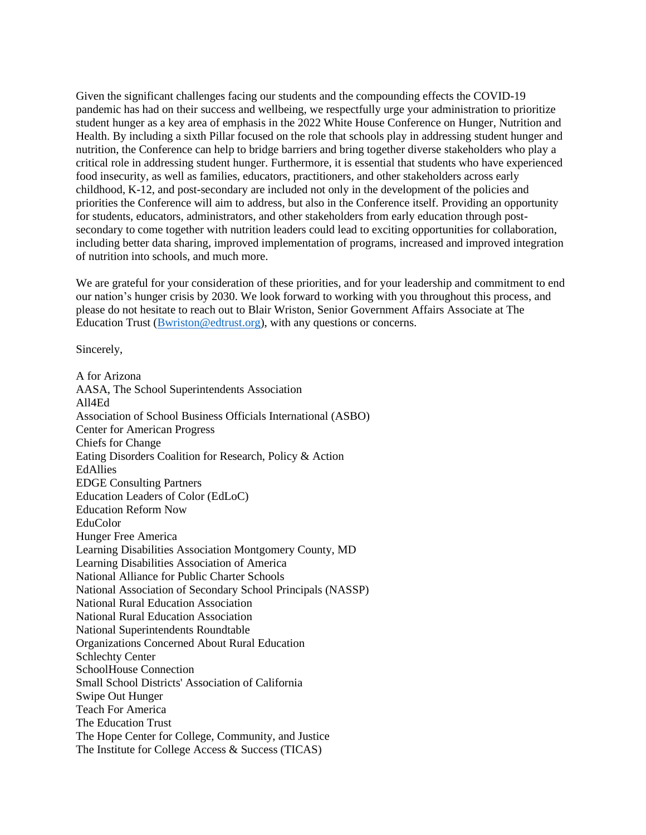Given the significant challenges facing our students and the compounding effects the COVID-19 pandemic has had on their success and wellbeing, we respectfully urge your administration to prioritize student hunger as a key area of emphasis in the 2022 White House Conference on Hunger, Nutrition and Health. By including a sixth Pillar focused on the role that schools play in addressing student hunger and nutrition, the Conference can help to bridge barriers and bring together diverse stakeholders who play a critical role in addressing student hunger. Furthermore, it is essential that students who have experienced food insecurity, as well as families, educators, practitioners, and other stakeholders across early childhood, K-12, and post-secondary are included not only in the development of the policies and priorities the Conference will aim to address, but also in the Conference itself. Providing an opportunity for students, educators, administrators, and other stakeholders from early education through postsecondary to come together with nutrition leaders could lead to exciting opportunities for collaboration, including better data sharing, improved implementation of programs, increased and improved integration of nutrition into schools, and much more.

We are grateful for your consideration of these priorities, and for your leadership and commitment to end our nation's hunger crisis by 2030. We look forward to working with you throughout this process, and please do not hesitate to reach out to Blair Wriston, Senior Government Affairs Associate at The Education Trust (Bwriston@edtrust.org), with any questions or concerns.

Sincerely,

A for Arizona AASA, The School Superintendents Association All4Ed Association of School Business Officials International (ASBO) Center for American Progress Chiefs for Change Eating Disorders Coalition for Research, Policy & Action EdAllies EDGE Consulting Partners Education Leaders of Color (EdLoC) Education Reform Now EduColor Hunger Free America Learning Disabilities Association Montgomery County, MD Learning Disabilities Association of America National Alliance for Public Charter Schools National Association of Secondary School Principals (NASSP) National Rural Education Association National Rural Education Association National Superintendents Roundtable Organizations Concerned About Rural Education Schlechty Center SchoolHouse Connection Small School Districts' Association of California Swipe Out Hunger Teach For America The Education Trust The Hope Center for College, Community, and Justice The Institute for College Access & Success (TICAS)